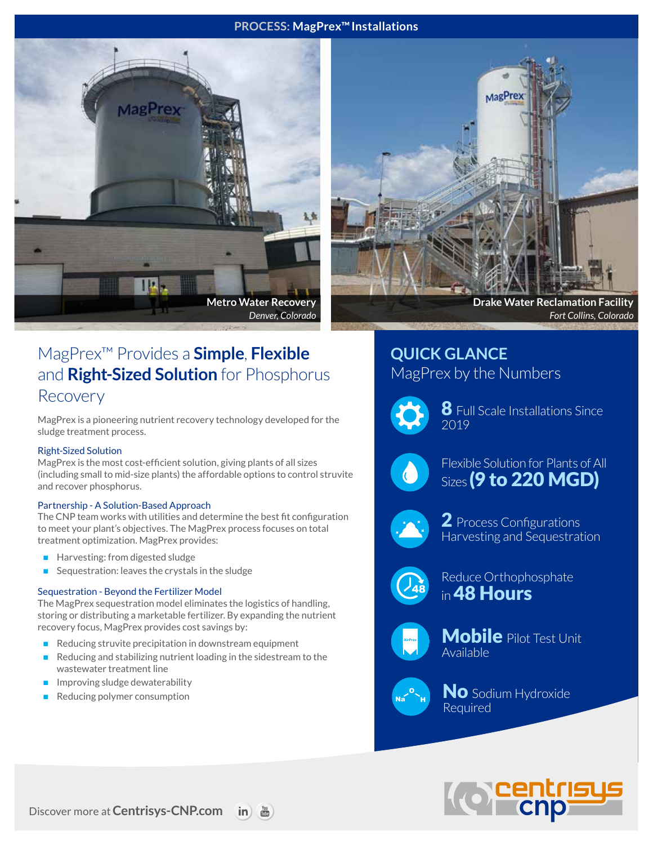#### **PROCESS: MagPrex™Installations**





*Fort Collins, Colorado*

# MagPrex™ Provides a **Simple**, **Flexible** and **Right-Sized Solution** for Phosphorus Recovery

MagPrex is a pioneering nutrient recovery technology developed for the sludge treatment process.

#### Right-Sized Solution

MagPrex is the most cost-efficient solution, giving plants of all sizes (including small to mid-size plants) the affordable options to control struvite and recover phosphorus.

#### Partnership - A Solution-Based Approach

The CNP team works with utilities and determine the best fit configuration to meet your plant's objectives. The MagPrex process focuses on total treatment optimization. MagPrex provides:

- Harvesting: from digested sludge
- Sequestration: leaves the crystals in the sludge

#### Sequestration - Beyond the Fertilizer Model

The MagPrex sequestration model eliminates the logistics of handling, storing or distributing a marketable fertilizer. By expanding the nutrient recovery focus, MagPrex provides cost savings by:

- Reducing struvite precipitation in downstream equipment
- Reducing and stabilizing nutrient loading in the sidestream to the wastewater treatment line
- Improving sludge dewaterability
- Reducing polymer consumption

## **QUICK GLANCE** MagPrex by the Numbers



 ${\bf 8}$  Full Scale Installations Since 2019



Flexible Solution for Plants of All **Sizes** (9 to 220 MGD)



2 Process Configurations Harvesting and Sequestration



Reduce Orthophosphate in 48 Hours



Mobile Pilot Test Unit Available



No Sodium Hydroxide Required



**Discover more at Centrisys-CNP.com in**  $\frac{v_{00}}{v_{00}}$